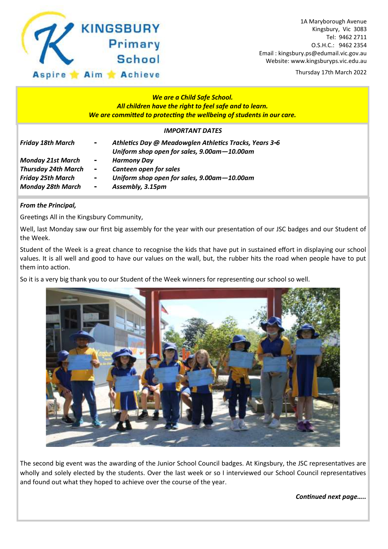

Thursday 17th March 2022

### *We are a Child Safe School. All children have the right to feel safe and to learn. We are committed to protecting the wellbeing of students in our care.*

#### *IMPORTANT DATES*

| <b>Friday 18th March</b>   | $\sim$                   | Athletics Day @ Meadowglen Athletics Tracks, Years 3-6<br>Uniform shop open for sales, 9.00am-10.00am |
|----------------------------|--------------------------|-------------------------------------------------------------------------------------------------------|
| <b>Monday 21st March</b>   | $\blacksquare$           | <b>Harmony Day</b>                                                                                    |
| <b>Thursday 24th March</b> | $\Delta \sim 100$        | Canteen open for sales                                                                                |
| <b>Friday 25th March</b>   | $\overline{\phantom{a}}$ | Uniform shop open for sales, 9.00am-10.00am                                                           |
| <b>Monday 28th March</b>   | $\overline{\phantom{a}}$ | Assembly, 3.15pm                                                                                      |

#### *From the Principal,*

Greetings All in the Kingsbury Community,

Well, last Monday saw our first big assembly for the year with our presentation of our JSC badges and our Student of the Week.

Student of the Week is a great chance to recognise the kids that have put in sustained effort in displaying our school values. It is all well and good to have our values on the wall, but, the rubber hits the road when people have to put them into action.

So it is a very big thank you to our Student of the Week winners for representing our school so well.



The second big event was the awarding of the Junior School Council badges. At Kingsbury, the JSC representatives are wholly and solely elected by the students. Over the last week or so I interviewed our School Council representatives and found out what they hoped to achieve over the course of the year.

*Continued next page…..*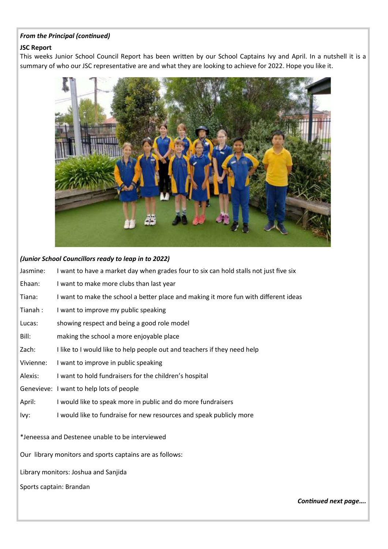#### *From the Principal (continued)*

#### **JSC Report**

This weeks Junior School Council Report has been written by our School Captains Ivy and April. In a nutshell it is a summary of who our JSC representative are and what they are looking to achieve for 2022. Hope you like it.



#### *(Junior School Councillors ready to leap in to 2022)*

| Jasmine:                                                 | I want to have a market day when grades four to six can hold stalls not just five six |  |  |  |  |
|----------------------------------------------------------|---------------------------------------------------------------------------------------|--|--|--|--|
| Ehaan:                                                   | I want to make more clubs than last year                                              |  |  |  |  |
| Tiana:                                                   | I want to make the school a better place and making it more fun with different ideas  |  |  |  |  |
| Tianah:                                                  | I want to improve my public speaking                                                  |  |  |  |  |
| Lucas:                                                   | showing respect and being a good role model                                           |  |  |  |  |
| Bill:                                                    | making the school a more enjoyable place                                              |  |  |  |  |
| Zach:                                                    | I like to I would like to help people out and teachers if they need help              |  |  |  |  |
| Vivienne:                                                | I want to improve in public speaking                                                  |  |  |  |  |
| Alexis:                                                  | I want to hold fundraisers for the children's hospital                                |  |  |  |  |
|                                                          | Genevieve: I want to help lots of people                                              |  |  |  |  |
| April:                                                   | I would like to speak more in public and do more fundraisers                          |  |  |  |  |
| lvy:                                                     | I would like to fundraise for new resources and speak publicly more                   |  |  |  |  |
| *Jeneessa and Destenee unable to be interviewed          |                                                                                       |  |  |  |  |
| Our library monitors and sports captains are as follows: |                                                                                       |  |  |  |  |
| Library monitors: Joshua and Sanjida                     |                                                                                       |  |  |  |  |
| Sports captain: Brandan                                  |                                                                                       |  |  |  |  |

*Continued next page….*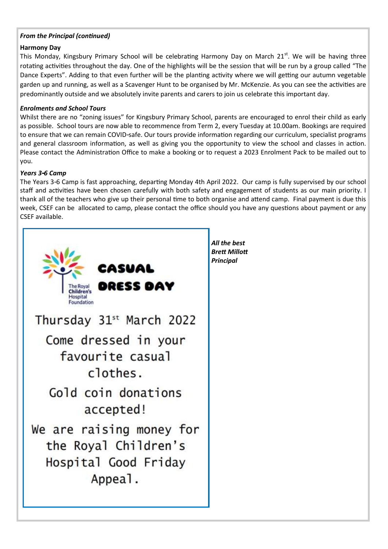#### *From the Principal (continued)*

#### **Harmony Day**

This Monday, Kingsbury Primary School will be celebrating Harmony Day on March 21<sup>st</sup>. We will be having three rotating activities throughout the day. One of the highlights will be the session that will be run by a group called "The Dance Experts". Adding to that even further will be the planting activity where we will getting our autumn vegetable garden up and running, as well as a Scavenger Hunt to be organised by Mr. McKenzie. As you can see the activities are predominantly outside and we absolutely invite parents and carers to join us celebrate this important day.

#### *Enrolments and School Tours*

Whilst there are no "zoning issues" for Kingsbury Primary School, parents are encouraged to enrol their child as early as possible. School tours are now able to recommence from Term 2, every Tuesday at 10.00am. Bookings are required to ensure that we can remain COVID-safe. Our tours provide information regarding our curriculum, specialist programs and general classroom information, as well as giving you the opportunity to view the school and classes in action. Please contact the Administration Office to make a booking or to request a 2023 Enrolment Pack to be mailed out to you.

### *Years 3-6 Camp*

The Years 3-6 Camp is fast approaching, departing Monday 4th April 2022. Our camp is fully supervised by our school staff and activities have been chosen carefully with both safety and engagement of students as our main priority. I thank all of the teachers who give up their personal time to both organise and attend camp. Final payment is due this week, CSEF can be allocated to camp, please contact the office should you have any questions about payment or any CSEF available.



*All the best Brett Millott Principal*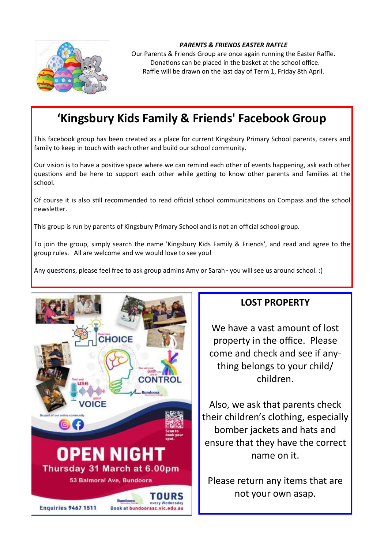

#### *PARENTS & FRIENDS EASTER RAFFLE*

Our Parents & Friends Group are once again running the Easter Raffle. Donations can be placed in the basket at the school office. Raffle will be drawn on the last day of Term 1, Friday 8th April.

## **'Kingsbury Kids Family & Friends' Facebook Group**

This facebook group has been created as a place for current Kingsbury Primary School parents, carers and family to keep in touch with each other and build our school community.

Our vision is to have a positive space where we can remind each other of events happening, ask each other questions and be here to support each other while getting to know other parents and families at the school.

Of course it is also still recommended to read official school communications on Compass and the school newsletter.

This group is run by parents of Kingsbury Primary School and is not an official school group.

To join the group, simply search the name 'Kingsbury Kids Family & Friends', and read and agree to the group rules. All are welcome and we would love to see you!

Any questions, please feel free to ask group admins Amy or Sarah - you will see us around school. :)



### **LOST PROPERTY**

We have a vast amount of lost property in the office. Please come and check and see if anything belongs to your child/ children.

Also, we ask that parents check their children's clothing, especially bomber jackets and hats and ensure that they have the correct name on it.

Please return any items that are not your own asap.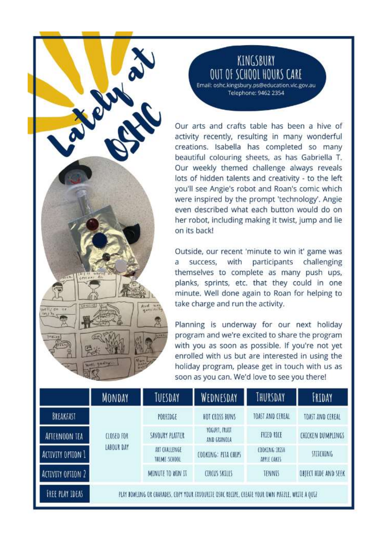# KINGSBURY OUT OF SCHOOL HOURS CARE

Email: oshc.kingsbury.ps@education.vic.gov.au Telephone: 9462 2354

Our arts and crafts table has been a hive of activity recently, resulting in many wonderful creations. Isabella has completed so many beautiful colouring sheets, as has Gabriella T. Our weekly themed challenge always reveals lots of hidden talents and creativity - to the left you'll see Angie's robot and Roan's comic which were inspired by the prompt 'technology'. Angie even described what each button would do on her robot, including making it twist, jump and lie on its back!

Outside, our recent 'minute to win it' game was a success. with participants challenging themselves to complete as many push ups, planks, sprints, etc. that they could in one minute. Well done again to Roan for helping to take charge and run the activity.

Planning is underway for our next holiday program and we're excited to share the program with you as soon as possible. If you're not yet enrolled with us but are interested in using the holiday program, please get in touch with us as soon as you can. We'd love to see you there!

|                        | <b>MONDAY</b>                                                                                   | TUESDAY                       | WEDNESDAY                    | THURSDAY                            | FRIDAY               |  |  |
|------------------------|-------------------------------------------------------------------------------------------------|-------------------------------|------------------------------|-------------------------------------|----------------------|--|--|
| BREAKFAST              | CLOSED FOR<br><b>LABOUR DAY</b>                                                                 | PORRIDGE                      | HOT CROSS BUNS               | TOAST AND CEREAL                    | TOAST AND CEREAL     |  |  |
| AFTERNOON TEA          |                                                                                                 | SAVOURY PLATTER               | YOGURT, FRUIT<br>AND GRANOLA | <b>FRIED RICE</b>                   | CHICKEN DUMPLINGS    |  |  |
| ACTIVITY OPTION 1      |                                                                                                 | ART CHALLENGE<br>THEME SCHOOL | COOKING: HTA CHIPS           | <b>COOKING: RISA</b><br>APPLE CAKES | <b>STITCHING</b>     |  |  |
| ACTIVITY OPTION 2      |                                                                                                 | MINUTE TO WIN IT              | <b>CIRCUS SKILLS</b>         | <b>TENNIS</b>                       | OBJECT HIDE AND SEEK |  |  |
| <b>FREE PLAY IDEAS</b> | PLAY DOWLING OR CHARADES. COPY YOUR FAVOURITE OSHC RECIPE. CREATE YOUR OWN PUZZLE, WRITE A QUIZ |                               |                              |                                     |                      |  |  |